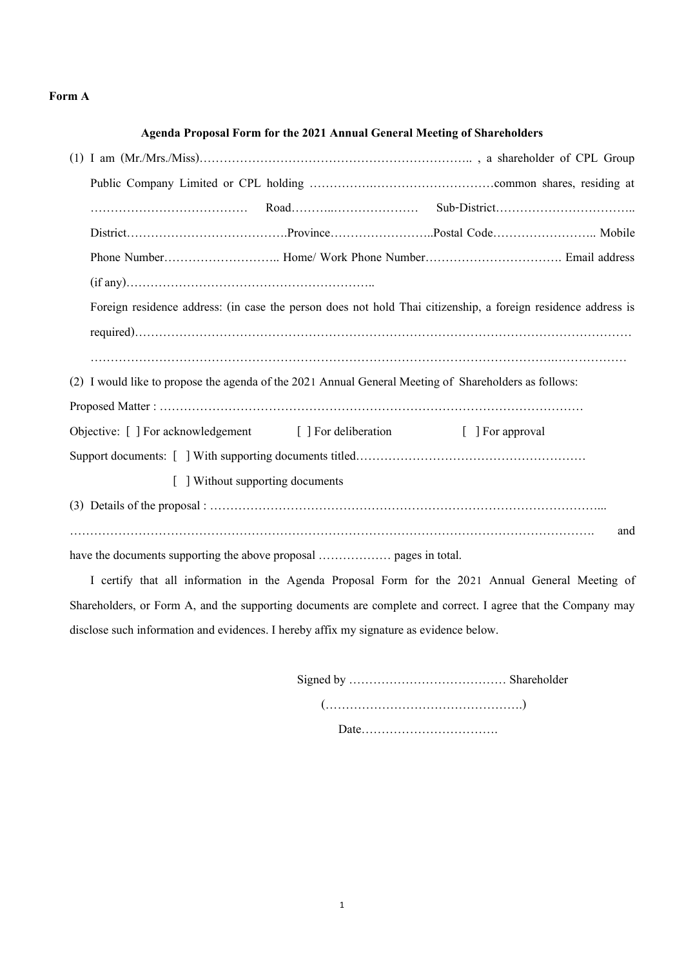## **Form A**

## **Agenda Proposal Form for the 2021 Annual General Meeting of Shareholders**

|                                                                                                       | Foreign residence address: (in case the person does not hold Thai citizenship, a foreign residence address is |
|-------------------------------------------------------------------------------------------------------|---------------------------------------------------------------------------------------------------------------|
|                                                                                                       |                                                                                                               |
|                                                                                                       |                                                                                                               |
| (2) I would like to propose the agenda of the 2021 Annual General Meeting of Shareholders as follows: |                                                                                                               |
|                                                                                                       |                                                                                                               |
| Objective: [ ] For acknowledgement [ ] For deliberation                                               | [ ] For approval                                                                                              |
|                                                                                                       |                                                                                                               |
| [ ] Without supporting documents                                                                      |                                                                                                               |
|                                                                                                       |                                                                                                               |
|                                                                                                       | and                                                                                                           |
|                                                                                                       |                                                                                                               |
|                                                                                                       | I certify that all information in the Agenda Proposal Form for the 2021 Annual General Meeting of             |
|                                                                                                       | Shareholders, or Form A, and the supporting documents are complete and correct. I agree that the Company may  |

disclose such information and evidences. I hereby affix my signature as evidence below.